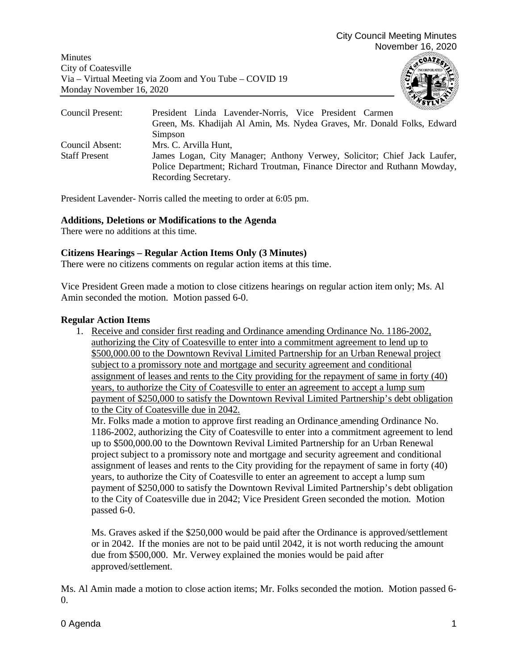Minutes City of Coatesville Via – Virtual Meeting via Zoom and You Tube – COVID 19 Monday November 16, 2020



| Council Present:     | President Linda Lavender-Norris, Vice President Carmen                    |
|----------------------|---------------------------------------------------------------------------|
|                      | Green, Ms. Khadijah Al Amin, Ms. Nydea Graves, Mr. Donald Folks, Edward   |
|                      | Simpson                                                                   |
| Council Absent:      | Mrs. C. Arvilla Hunt,                                                     |
| <b>Staff Present</b> | James Logan, City Manager; Anthony Verwey, Solicitor; Chief Jack Laufer,  |
|                      | Police Department; Richard Troutman, Finance Director and Ruthann Mowday, |
|                      | Recording Secretary.                                                      |

President Lavender- Norris called the meeting to order at 6:05 pm.

# **Additions, Deletions or Modifications to the Agenda**

There were no additions at this time.

# **Citizens Hearings – Regular Action Items Only (3 Minutes)**

There were no citizens comments on regular action items at this time.

Vice President Green made a motion to close citizens hearings on regular action item only; Ms. Al Amin seconded the motion. Motion passed 6-0.

# **Regular Action Items**

1. Receive and consider first reading and Ordinance amending Ordinance No. 1186-2002, authorizing the City of Coatesville to enter into a commitment agreement to lend up to \$500,000.00 to the Downtown Revival Limited Partnership for an Urban Renewal project subject to a promissory note and mortgage and security agreement and conditional assignment of leases and rents to the City providing for the repayment of same in forty (40) years, to authorize the City of Coatesville to enter an agreement to accept a lump sum payment of \$250,000 to satisfy the Downtown Revival Limited Partnership's debt obligation to the City of Coatesville due in 2042.

Mr. Folks made a motion to approve first reading an Ordinance amending Ordinance No. 1186-2002, authorizing the City of Coatesville to enter into a commitment agreement to lend up to \$500,000.00 to the Downtown Revival Limited Partnership for an Urban Renewal project subject to a promissory note and mortgage and security agreement and conditional assignment of leases and rents to the City providing for the repayment of same in forty (40) years, to authorize the City of Coatesville to enter an agreement to accept a lump sum payment of \$250,000 to satisfy the Downtown Revival Limited Partnership's debt obligation to the City of Coatesville due in 2042; Vice President Green seconded the motion. Motion passed 6-0.

Ms. Graves asked if the \$250,000 would be paid after the Ordinance is approved/settlement or in 2042. If the monies are not to be paid until 2042, it is not worth reducing the amount due from \$500,000. Mr. Verwey explained the monies would be paid after approved/settlement.

Ms. Al Amin made a motion to close action items; Mr. Folks seconded the motion. Motion passed 6-  $\overline{0}$ .